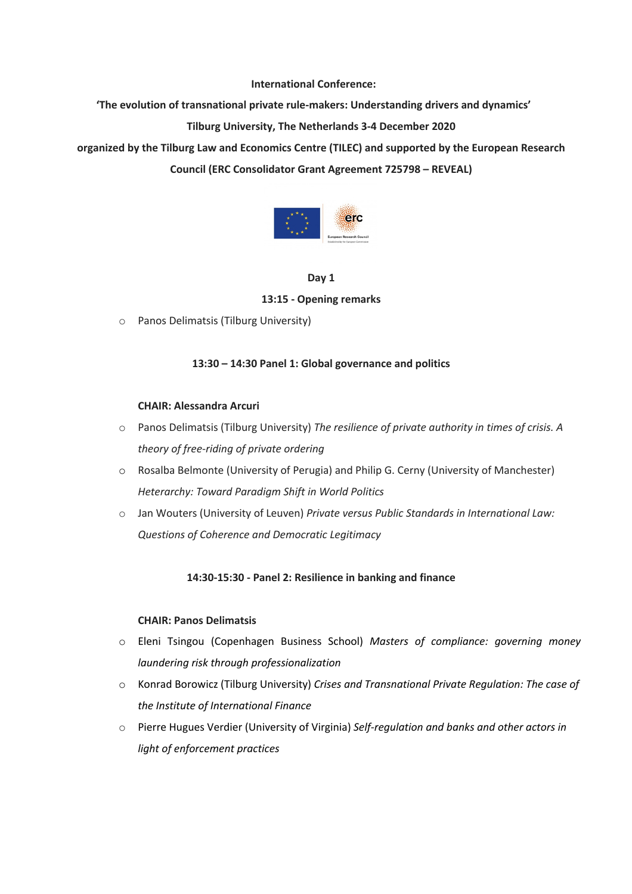**International Conference:** 

**'The evolution of transnational private rule-makers: Understanding drivers and dynamics'**

# **Tilburg University, The Netherlands 3-4 December 2020**

**organized by the Tilburg Law and Economics Centre (TILEC) and supported by the European Research Council (ERC Consolidator Grant Agreement 725798 – REVEAL)**



## **Day 1**

## **13:15 - Opening remarks**

o Panos Delimatsis (Tilburg University)

# **13:30 – 14:30 Panel 1: Global governance and politics**

#### **CHAIR: Alessandra Arcuri**

- o Panos Delimatsis (Tilburg University) *The resilience of private authority in times of crisis. A theory of free-riding of private ordering*
- o Rosalba Belmonte (University of Perugia) and Philip G. Cerny (University of Manchester) *Heterarchy: Toward Paradigm Shift in World Politics*
- o Jan Wouters (University of Leuven) *Private versus Public Standards in International Law: Questions of Coherence and Democratic Legitimacy*

## **14:30-15:30 - Panel 2: Resilience in banking and finance**

## **CHAIR: Panos Delimatsis**

- o Eleni Tsingou (Copenhagen Business School) *Masters of compliance: governing money laundering risk through professionalization*
- o Konrad Borowicz (Tilburg University) *Crises and Transnational Private Regulation: The case of the Institute of International Finance*
- o Pierre Hugues Verdier (University of Virginia) *Self-regulation and banks and other actors in light of enforcement practices*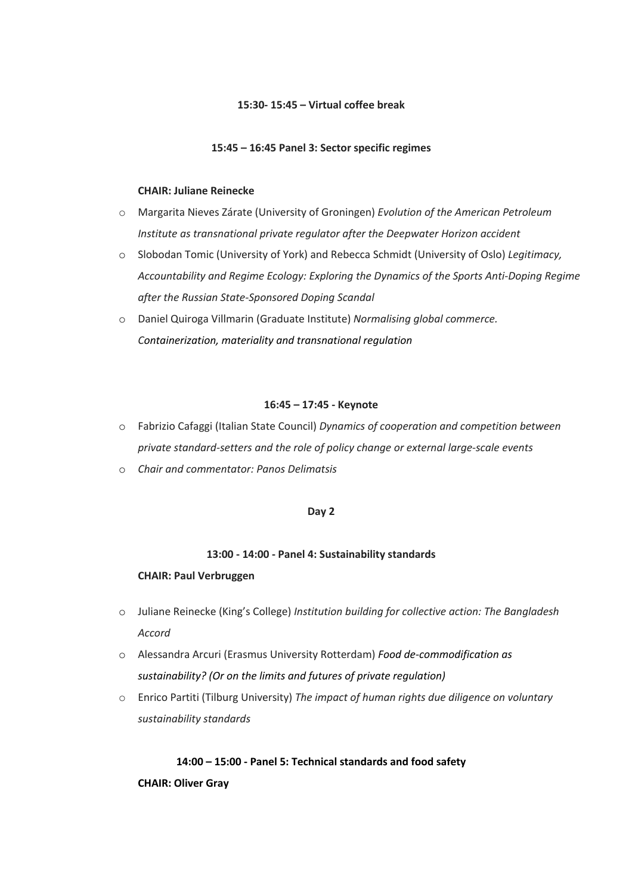## **15:30- 15:45 – Virtual coffee break**

#### **15:45 – 16:45 Panel 3: Sector specific regimes**

#### **CHAIR: Juliane Reinecke**

- o Margarita Nieves Zárate (University of Groningen) *Evolution of the American Petroleum Institute as transnational private regulator after the Deepwater Horizon accident*
- o Slobodan Tomic (University of York) and Rebecca Schmidt (University of Oslo) *Legitimacy, Accountability and Regime Ecology: Exploring the Dynamics of the Sports Anti-Doping Regime after the Russian State-Sponsored Doping Scandal*
- o Daniel Quiroga Villmarin (Graduate Institute) *Normalising global commerce. Containerization, materiality and transnational regulation*

#### **16:45 – 17:45 - Keynote**

- o Fabrizio Cafaggi (Italian State Council) *Dynamics of cooperation and competition between private standard-setters and the role of policy change or external large-scale events*
- o *Chair and commentator: Panos Delimatsis*

## **Day 2**

#### **13:00 - 14:00 - Panel 4: Sustainability standards**

#### **CHAIR: Paul Verbruggen**

- o Juliane Reinecke (King's College) *Institution building for collective action: The Bangladesh Accord*
- o Alessandra Arcuri (Erasmus University Rotterdam) *Food de-commodification as sustainability? (Or on the limits and futures of private regulation)*
- o Enrico Partiti (Tilburg University) *The impact of human rights due diligence on voluntary sustainability standards*

# **14:00 – 15:00 - Panel 5: Technical standards and food safety**

**CHAIR: Oliver Gray**